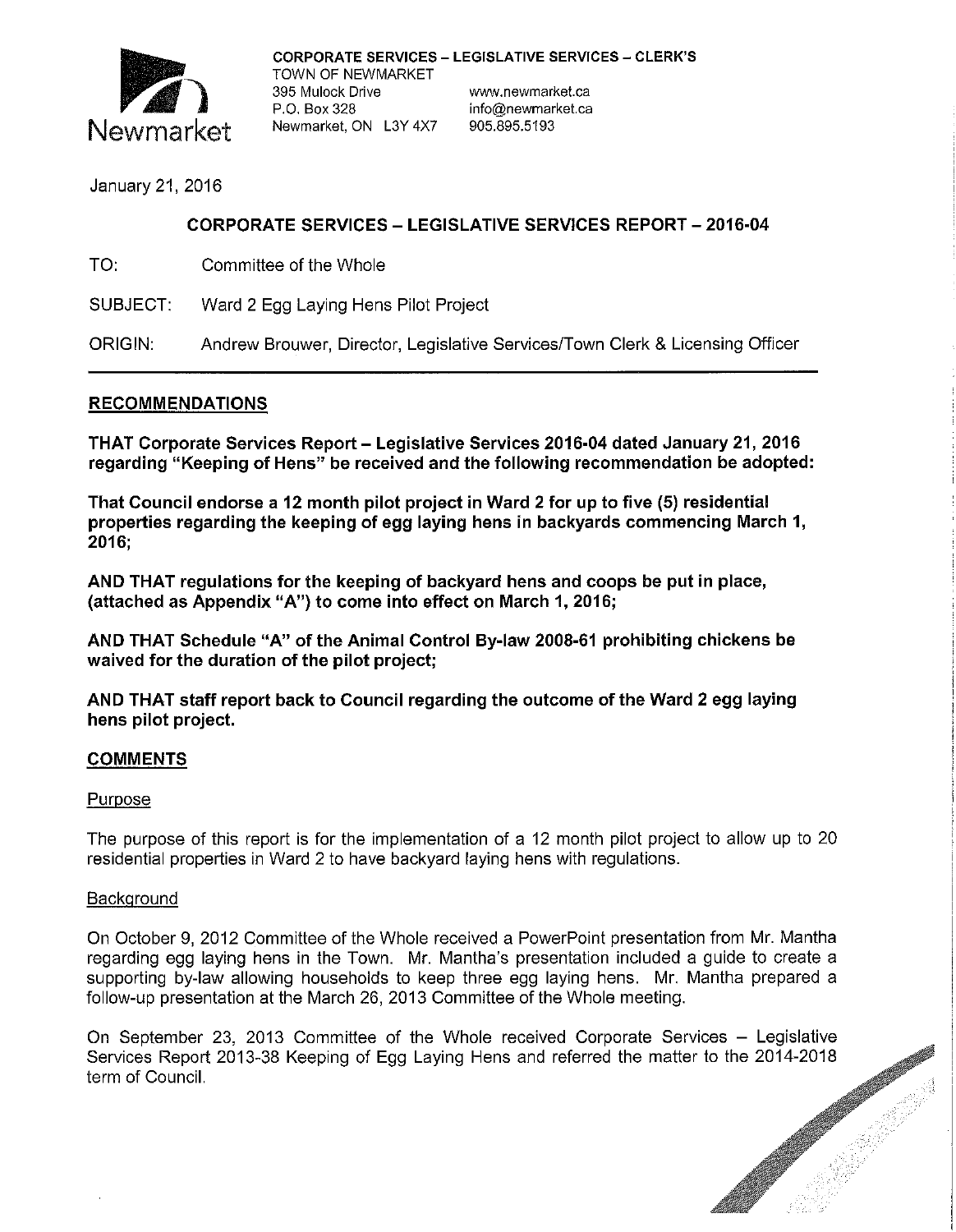

January 21, 2016

# CORPORATE SERVICES - LEGISLATIVE SERVICES REPORT- 2016-04

TO: Committee of the Whole

SUBJECT: Ward 2 Egg Laying Hens Pilot Project

ORIGIN: Andrew Brouwer, Director, Legislative Services/Town Clerk & Licensing Officer

## RECOMMENDATIONS

THAT Corporate Services Report - Legislative Services 2016-04 dated January 21, 2016 regarding "Keeping of Hens" be received and the following recommendation be adopted:

That Council endorse a 12 month pilot project in Ward 2 for up to five (5) residential properties regarding the keeping of egg laying hens in backyards commencing March 1, 2016;

AND THAT regulations for the keeping of backyard hens and coops be put in place, (attached as Appendix "A") to come into effect on March 1, 2016;

AND THAT Schedule "A" of the Animal Control By-law 2008-61 prohibiting chickens be waived for the duration of the pilot project;

AND THAT staff report back to Council regarding the outcome of the Ward 2 egg laying hens pilot project.

## COMMENTS

## Purpose

The purpose of this report is for the implementation of a 12 month pilot project to allow up to 20 residential properties in Ward 2 to have backyard laying hens with regulations.

## **Background**

On October 9, 2012 Committee of the Whole received a PowerPoint presentation from Mr. Mantha regarding egg laying hens in the Town. Mr. Mantha's presentation included a guide to create a supporting by-law allowing households to keep three egg laying hens. Mr. Mantha prepared a follow-up presentation at the March 26, 2013 Committee of the Whole meeting.

On September 23, 2013 Committee of the Whole received Corporate Services – Legislative Services Report 2013-38 Keeping of Egg Laying Hens and referred the matter to the 2014-2018 term of Council.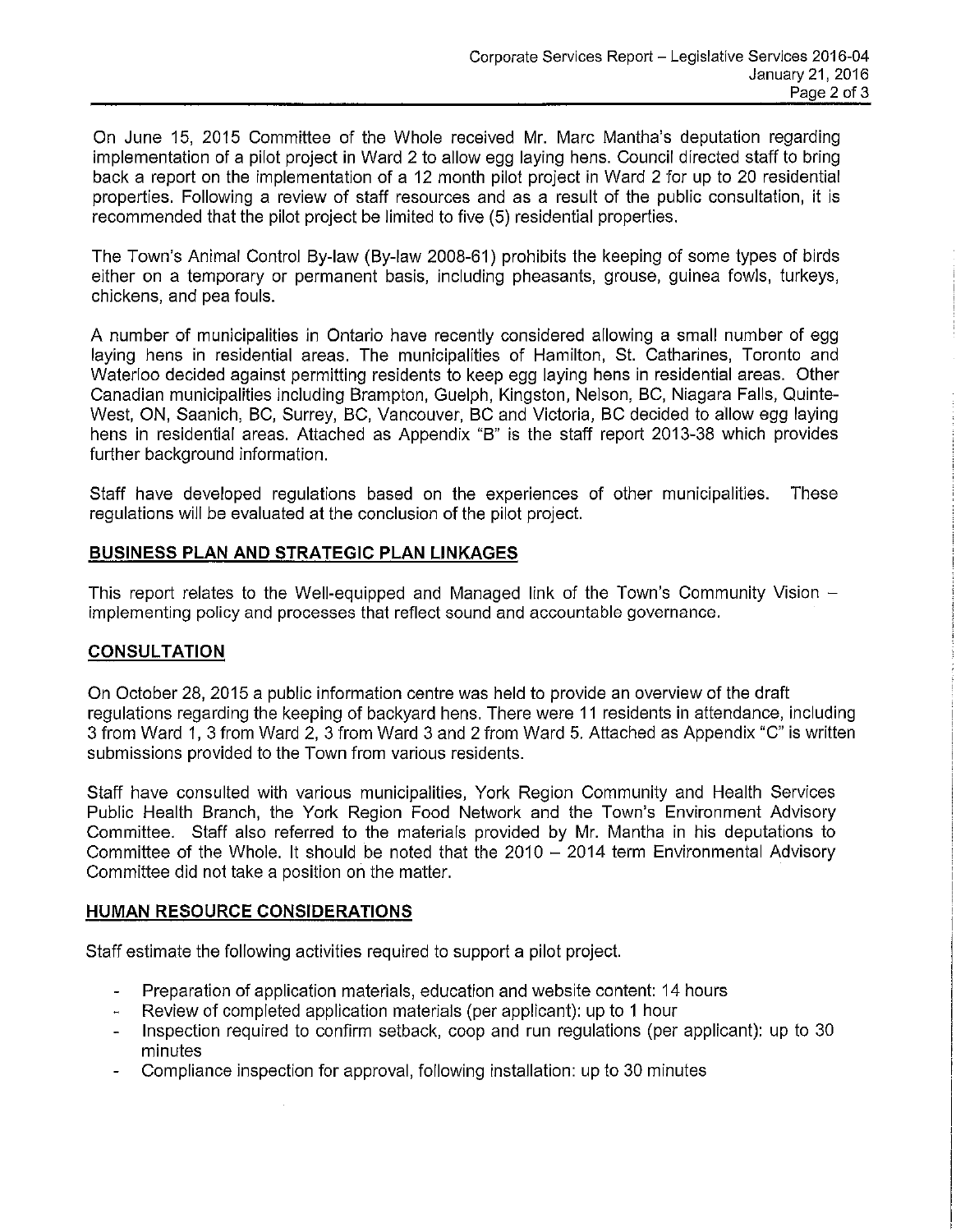On June 15, 2015 Committee of the Whole received Mr. Marc Mantha's deputation regarding implementation of a pilot project in Ward 2 to allow egg laying hens. Council directed staff to bring back a report on the implementation of a 12 month pilot project in Ward 2 for up to 20 residential properties. Following a review of staff resources and as a result of the public consultation, it is recommended that the pilot project be limited to five (5) residential properties.

The Town's Animal Control By-law (By-law 2008-61) prohibits the keeping of some types of birds either on a temporary or permanent basis, including pheasants, grouse, guinea fowls, turkeys, chickens, and pea fouls.

A number of municipalities in Ontario have recently considered allowing a small number of egg laying hens in residential areas. The municipalities of Hamilton, St. Catharines, Toronto and Waterloo decided against permitting residents to keep egg laying hens in residential areas. Other Canadian municipalities including Brampton, Guelph, Kingston, Nelson, BC, Niagara Falls, Quinte-West, ON, Saanich, BC, Surrey, BC, Vancouver, BC and Victoria, BC decided to allow egg laying hens in residential areas. Attached as Appendix "B" is the staff report 2013-38 which provides further background information.

Staff have developed regulations based on the experiences of other municipalities. These regulations will be evaluated at the conclusion of the pilot project.

## **BUSINESS PLAN AND STRATEGIC PLAN LINKAGES**

This report relates to the Well-equipped and Managed link of the Town's Community Vision implementing policy and processes that reflect sound and accountable governance.

## **CONSULTATION**

On October 28, 2015 a public information centre was held to provide an overview of the draft regulations regarding the keeping of backyard hens. There were 11 residents in attendance, including 3 from Ward 1, 3 from Ward 2, 3 from Ward 3 and 2 from Ward 5. Attached as Appendix "C" is written submissions provided to the Town from various residents.

Staff have consulted with various municipalities, York Region Community and Health Services Public Health Branch, the York Region Food Network and the Town's Environment Advisory Committee. Staff also referred to the materials provided by Mr. Mantha in his deputations to Committee of the Whole. It should be noted that the  $2010 - 2014$  term Environmental Advisory Committee did not take a position on the matter.

#### **HUMAN RESOURCE CONSIDERATIONS**

Staff estimate the following activities required to support a pilot project.

- Preparation of application materials, education and website content: 14 hours
- Review of completed application materials (per applicant): up to 1 hour
- Inspection required to confirm setback, coop and run regulations (per applicant): up to 30  $\blacksquare$ minutes
- Compliance inspection for approval, following installation: up to 30 minutes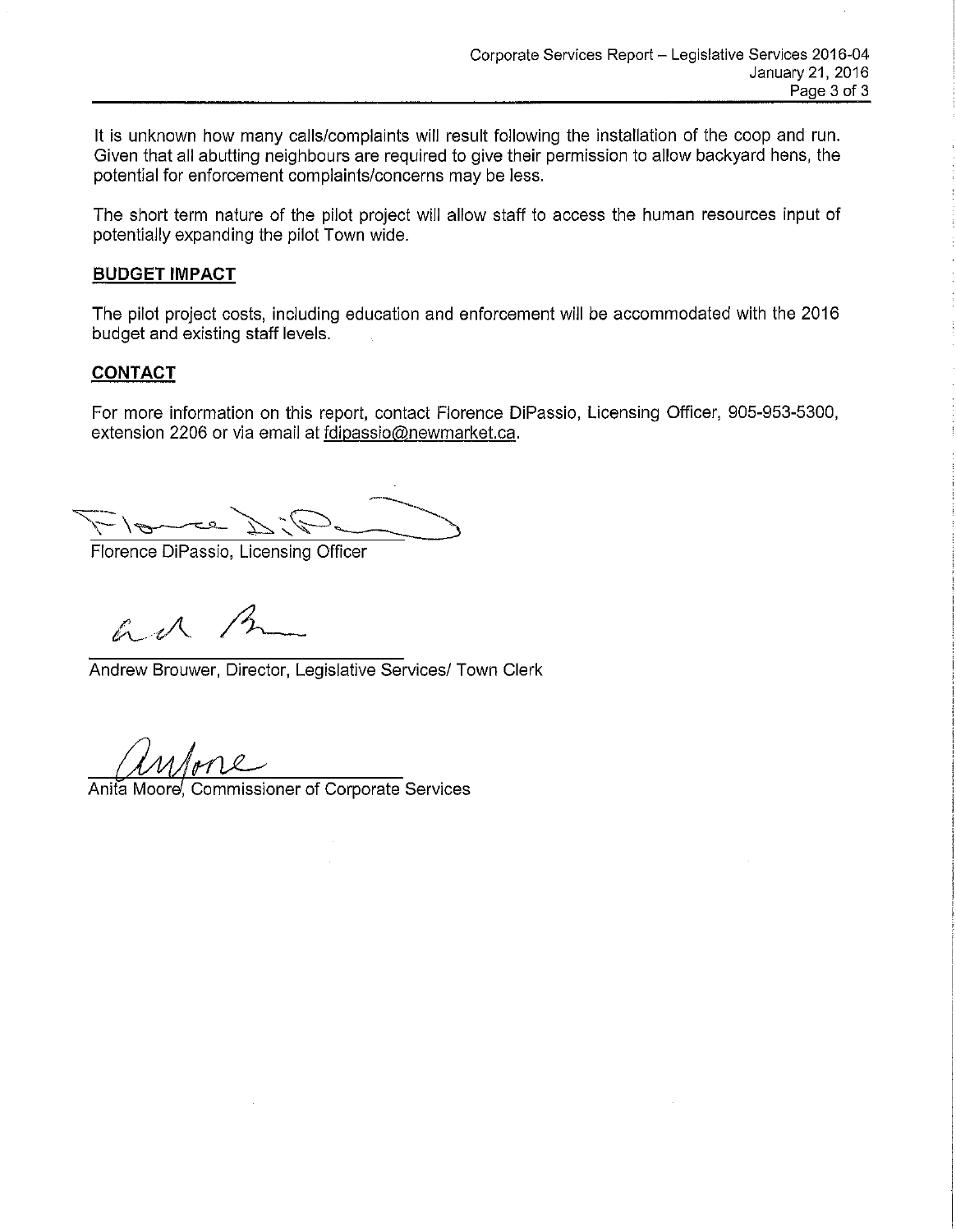It is unknown how many calls/complaints will result following the installation of the coop and run. Given that all abutting neighbours are required to give their permission to allow backyard hens, the potential for enforcement complaints/concerns may be less.

The short term nature of the pilot project will allow staff to access the human resources input of potentially expanding the pilot Town wide.

#### **BUDGET IMPACT**

The pilot project costs, including education and enforcement will be accommodated with the 2016 budget and existing staff levels.

## **CONTACT**

For more information on this report, contact Florence DiPassio, Licensing Officer, 905-953-5300, extension 2206 or via email at fdipassio@newmarket.ca.

 $\frac{Q}{P}$ 

Florence DiPassio, Licensing Officer

 $\mathbb{R}$ 

Andrew Brouwer, Director, Legislative Services/ Town Clerk

Anita Moore, Commissioner of Corporate Services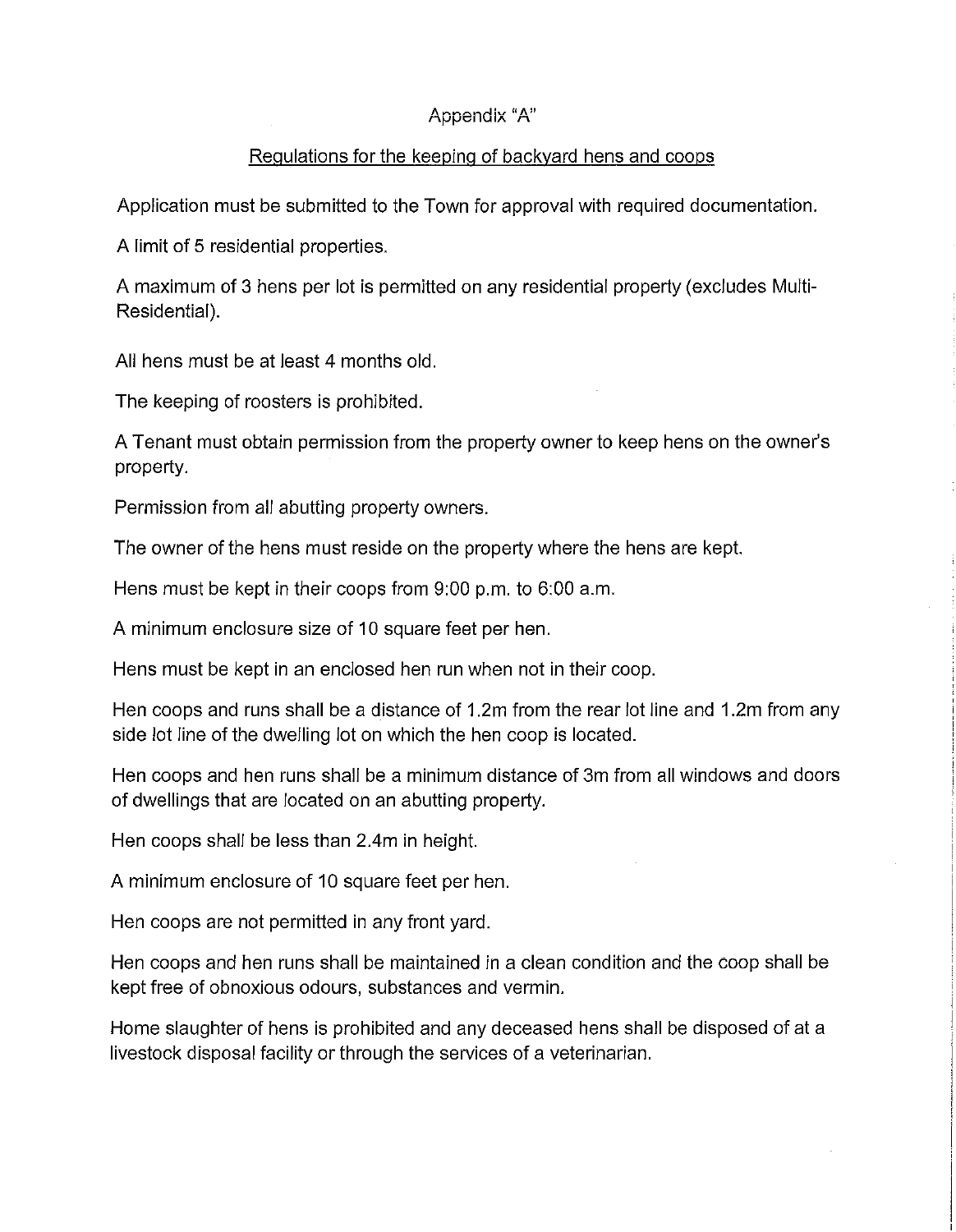# Appendix "A"

# Regulations for the keeping of backyard hens and coops

Application must be submitted to the Town for approval with required documentation.

A limit of 5 residential properties.

A maximum of 3 hens per lot is permitted on any residential property (excludes Multi Residential).

All hens must be at least 4 months old.

The keeping of roosters is prohibited.

A Tenant must obtain permission from the property owner to keep hens on the owner's property.

Permission from all abutting property owners.

The owner of the hens must reside on the property where the hens are kept.

Hens must be kept in their coops from 9:00 p.m. to 6:00 a.m.

A minimum enclosure size of 10 square feet per hen.

Hens must be kept in an enclosed hen run when not in their coop.

Hen coops and runs shall be a distance of 1.2m from the rear lot line and 1.2m from any side lot line of the dwelling lot on which the hen coop is located.

Hen coops and hen runs shall be a minimum distance of 3m from all windows and doors of dwellings that are located on an abutting property.

Hen coops shall be less than 2.4m in height.

A minimum enclosure of 10 square feet per hen.

Hen coops are not permitted in any front yard.

Hen coops and hen runs shall be maintained in a clean condition and the coop shall be kept free of obnoxious odours, substances and vermin.

Home slaughter of hens is prohibited and any deceased hens shall be disposed of at a livestock disposal facility or through the services of a veterinarian.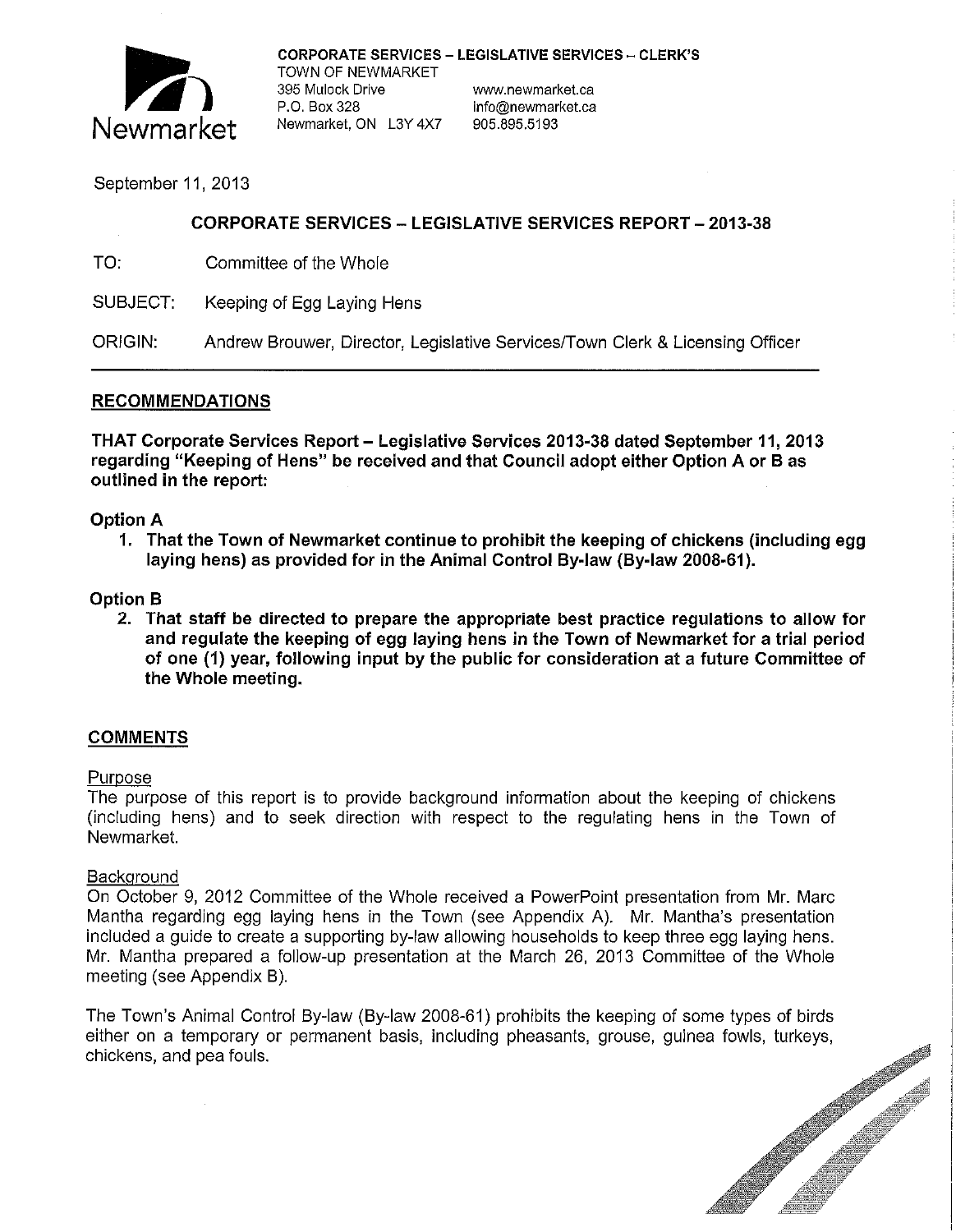

CORPORATE SERVICES – LEGISLATIVE SERVICES – CLERK'S<br>TOWN OF NEWMARKET

CORPORATE SERVICES – LEGISLATIVE SERVITOWN OF NEWMARKET<br>
395 Mulock Drive www.newmarket.ca<br>
P.O. Box 328 info@newmarket.ca<br>
Newmarket.ON 13Y 4X7 905.895.5193 P.O. Box 328 info@newmarket.ca<br>Newmarket. ON L3Y 4X7 905.895.5193

## September 11, 2013

## CORPORATE SERVICES - LEGISLATIVE SERVICES REPORT- 2013-38

TO: Committee of the Whole

SUBJECT: Keeping of Egg Laying Hens

ORIGIN: Andrew Brouwer, Director, Legislative Services/Town Clerk & Licensing Officer

#### RECOMMENDATIONS

THAT Corporate Services Report - Legislative Services 2013-38 dated September 11, 2013 regarding "Keeping of Hens" be received and that Council adopt either Option A or Bas outlined in the report:

#### Option A

1. That the Town of Newmarket continue to prohibit the keeping of chickens (including egg laying hens) as provided for in the Animal Control By-law (By-Jaw 2008-61).

#### Option B

2. That staff be directed to prepare the appropriate best practice regulations to allow for and regulate the keeping of egg laying hens in the Town of Newmarket for a trial period of one (1) year, following input by the public for consideration at a future Committee of the Whole meeting.

## COMMENTS

#### Purpose

The purpose of this report is to provide background information about the keeping of chickens (including hens) and to seek direction with respect to the regulating hens in the Town of Newmarket.

#### Background

On October 9, 2012 Committee of the Whole received a PowerPoint presentation from Mr. Marc Mantha regarding egg laying hens in the Town (see Appendix A). Mr. Mantha's presentation included a guide to create a supporting by-law allowing households to keep three egg laying hens. Mr. Mantha prepared a follow-up presentation at the March 26, 2013 Committee of the Whole meeting (see Appendix B).

The Town's Animal Control By-law (By-law 2008-61) prohibits the keeping of some types of birds chickens, and pea fouls.

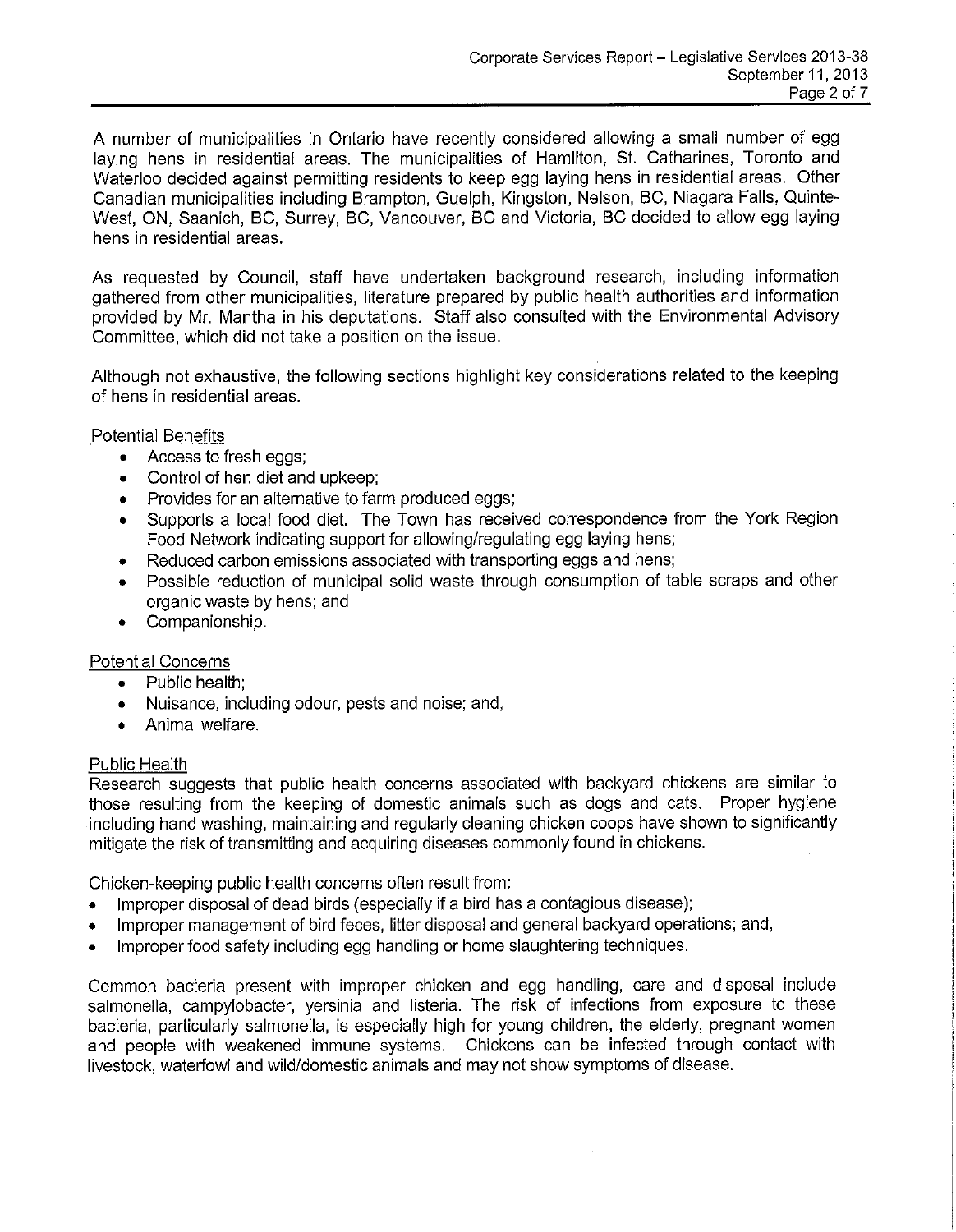A number of municipalities in Ontario have recently considered allowing a small number of egg laying hens in residential areas. The municipalities of Hamilton, St. Catharines, Toronto and Waterloo decided against permitting residents to keep egg laying hens in residential areas. Other Canadian municipalities including Brampton, Guelph, Kingston, Nelson, BC, Niagara Falls, Quinte-West, ON, Saanich, BC, Surrey, BC, Vancouver, BC and Victoria, BC decided to allow egg laying hens in residential areas.

As requested by Council, staff have undertaken background research, including information gathered from other municipalities, literature prepared by public health authorities and information provided by Mr. Mantha in his deputations. Staff also consulted with the Environmental Advisory Committee, which did not take a position on the issue.

Although not exhaustive, the following sections highlight key considerations related to the keeping of hens in residential areas.

Potential Benefits

- Access to fresh eggs;
- Control of hen diet and upkeep;
- Provides for an alternative to farm produced eggs;
- Supports a local food diet. The Town has received correspondence from the York Region Food Network indicating support for allowing/regulating egg laying hens;
- Reduced carbon emissions associated with transporting eggs and hens;
- Possible reduction of municipal solid waste through consumption of table scraps and other organic waste by hens; and
- Companionship.

## Potential Concerns

- Public health;
- Nuisance, including odour, pests and noise; and,
- Animal welfare.

#### Public Health

Research suggests that public health concerns associated with backyard chickens are similar to those resulting from the keeping of domestic animals such as dogs and cats. Proper hygiene including hand washing, maintaining and regularly cleaning chicken coops have shown to significantly mitigate the risk of transmitting and acquiring diseases commonly found in chickens.

Chicken-keeping public health concerns often result from:

- Improper disposal of dead birds (especially if a bird has a contagious disease);
- Improper management of bird feces, litter disposal and general backyard operations; and,
- Improper food safety including egg handling or home slaughtering techniques.

Common bacteria present with improper chicken and egg handling, care and disposal include salmonella, campylobacter, yersinia and listeria. The risk of infections from exposure to these bacteria, particularly salmonella, is especially high for young children, the elderly, pregnant women and people with weakened immune systems. Chickens can be infected through contact with livestock, waterfowl and wild/domestic animals and may not show symptoms of disease.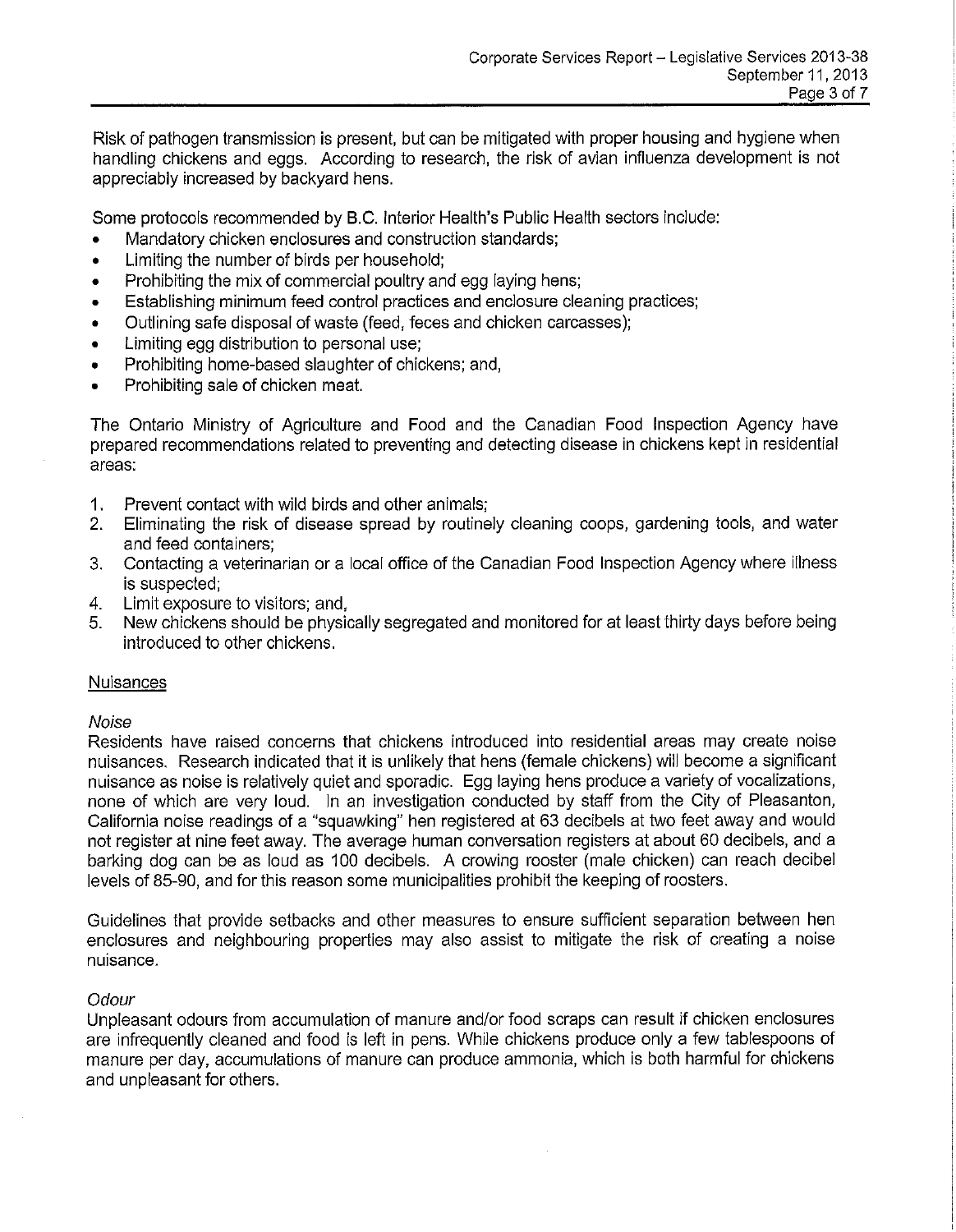Risk of pathogen transmission is present, but can be mitigated with proper housing and hygiene when handling chickens and eggs. According to research, the risk of avian influenza development is not appreciably increased by backyard hens.

Some protocols recommended by B.C. Interior Health's Public Health sectors include:

- Mandatory chicken enclosures and construction standards;
- Limiting the number of birds per household;
- Prohibiting the mix of commercial poultry and egg laying hens;
- Establishing minimum feed control practices and enclosure cleaning practices;
- Outlining safe disposal of waste (feed, feces and chicken carcasses);
- Limiting egg distribution to personal use;
- Prohibiting home-based slaughter of chickens; and,
- Prohibiting sale of chicken meat.

The Ontario Ministry of Agriculture and Food and the Canadian Food Inspection Agency have prepared recommendations related to preventing and detecting disease in chickens kept in residential areas:

- **1.**  Prevent contact with wild birds and other animals;
- 2. Eliminating the risk of disease spread by routinely cleaning coops, gardening tools, and water and feed containers;
- 3. Contacting a veterinarian or a local office of the Canadian Food Inspection Agency where illness is suspected;
- 4. Limit exposure to visitors; and,
- 5. New chickens should be physically segregated and monitored for at least thirty days before being introduced to other chickens.

## **Nuisances**

#### Noise

Residents have raised concerns that chickens introduced into residential areas may create noise nuisances. Research indicated that **it** is unlikely that hens (female chickens) will become a significant nuisance as noise is relatively quiet and sporadic. Egg laying hens produce a variety of vocalizations, none of which are very loud. In an investigation conducted by staff from the City of Pleasanton, California noise readings of a "squawking" hen registered at 63 decibels at two feet away and would not register at nine feet away. The average human conversation registers at about 60 decibels, and a barking dog can be as loud as 100 decibels. A crowing rooster (male chicken) can reach decibel levels of 85-90, and for this reason some municipalities prohibit the keeping of roosters.

Guidelines that provide setbacks and other measures to ensure sufficient separation between hen enclosures and neighbouring properties may also assist to mitigate the risk of creating a noise nuisance.

#### **Odour**

Unpleasant odours from accumulation of manure and/or food scraps can result if chicken enclosures are infrequently cleaned and food is left in pens. While chickens produce only a few tablespoons of manure per day, accumulations of manure can produce ammonia, which is both harmful for chickens and unpleasant for others.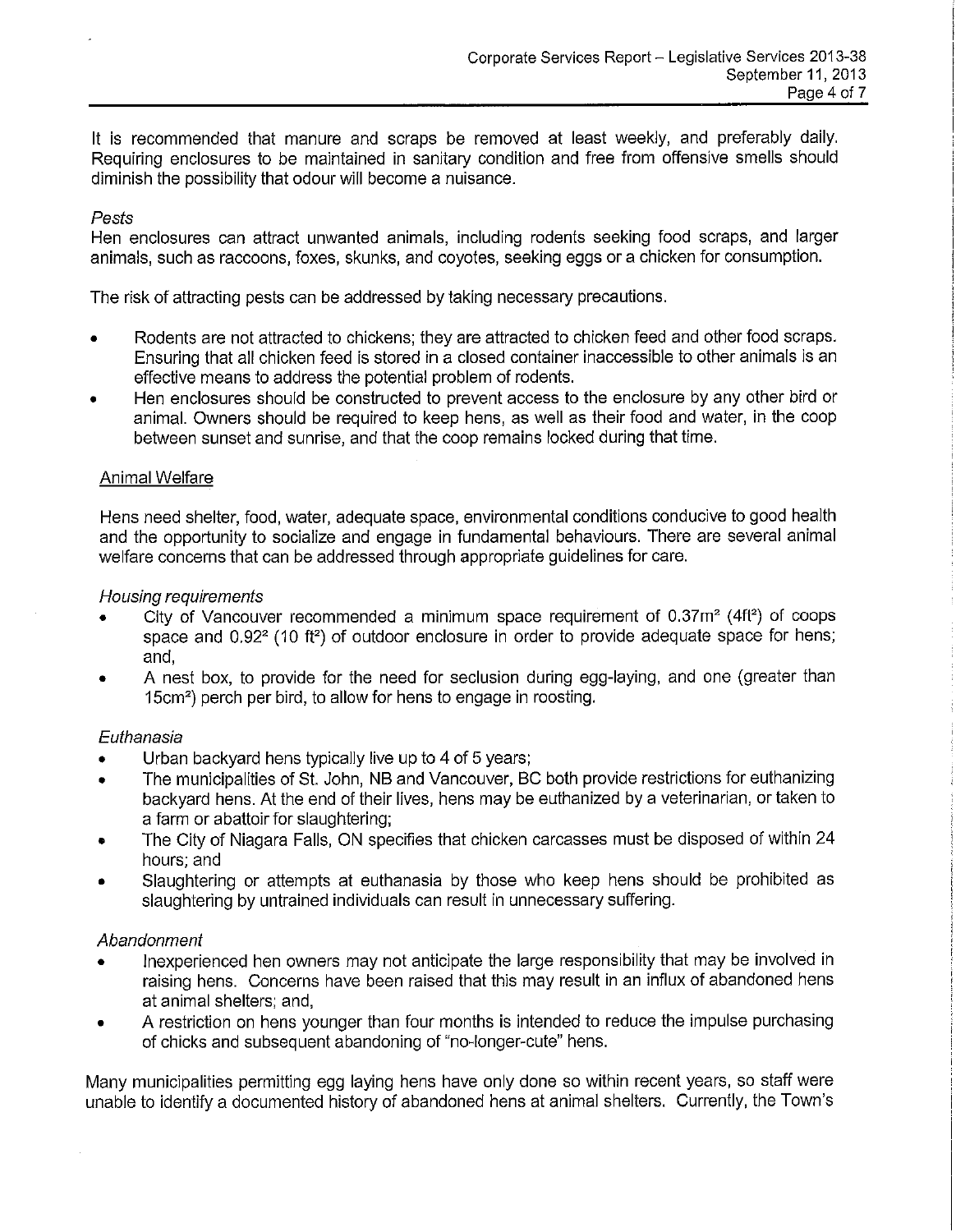It is recommended that manure and scraps be removed at least weekly, and preferably daily. Requiring enclosures to be maintained in sanitary condition and free from offensive smells should diminish the possibility that odour will become a nuisance.

#### Pests

Hen enclosures can attract unwanted animals, including rodents seeking food scraps, and larger animals, such as raccoons, foxes, skunks, and coyotes, seeking eggs or a chicken for consumption.

The risk of attracting pests can be addressed by taking necessary precautions.

- Rodents are not attracted to chickens; they are attracted to chicken feed and other food scraps. Ensuring that all chicken feed is stored in a closed container inaccessible to other animals is an effective means to address the potential problem of rodents.
- Hen enclosures should be constructed to prevent access to the enclosure by any other bird or animal. Owners should be required to keep hens, as well as their food and water, in the coop between sunset and sunrise, and that the coop remains locked during that time.

#### Animal Welfare

Hens need shelter, food, water, adequate space, environmental conditions conducive to good health and the opportunity to socialize and engage in fundamental behaviours. There are several animal welfare concerns that can be addressed through appropriate guidelines for care.

#### Housing requirements

- City of Vancouver recommended a minimum space requirement of  $0.37m^2$  (4ft<sup>2</sup>) of coops space and  $0.92<sup>2</sup>$  (10 ft<sup>2</sup>) of outdoor enclosure in order to provide adequate space for hens; and,
- A nest box, to provide for the need for seclusion during egg-laying, and one (greater than 15cm<sup>2</sup>) perch per bird, to allow for hens to engage in roosting.

## Euthanasia

- Urban backyard hens typically live up to 4 of 5 years;
- The municipalities of St. John, NB and Vancouver, BC both provide restrictions for euthanizing backyard hens. At the end of their lives, hens may be euthanized by a veterinarian, or taken to a farm or abattoir for slaughtering;
- The City of Niagara Falls, ON specifies that chicken carcasses must be disposed of within 24 hours; and
- Slaughtering or attempts at euthanasia by those who keep hens should be prohibited as slaughtering by untrained individuals can result in unnecessary suffering.

## Abandonment

- Inexperienced hen owners may not anticipate the large responsibility that may be involved in raising hens. Concerns have been raised that this may result in an influx of abandoned hens at animal shelters; and,
- A restriction on hens younger than four months is intended to reduce the impulse purchasing of chicks and subsequent abandoning of "no-longer-cute" hens.

Many municipalities permitting egg laying hens have only done so within recent years, so staff were nable to identify a documented history of abandoned hens at animal shelters. Currently, the Town's u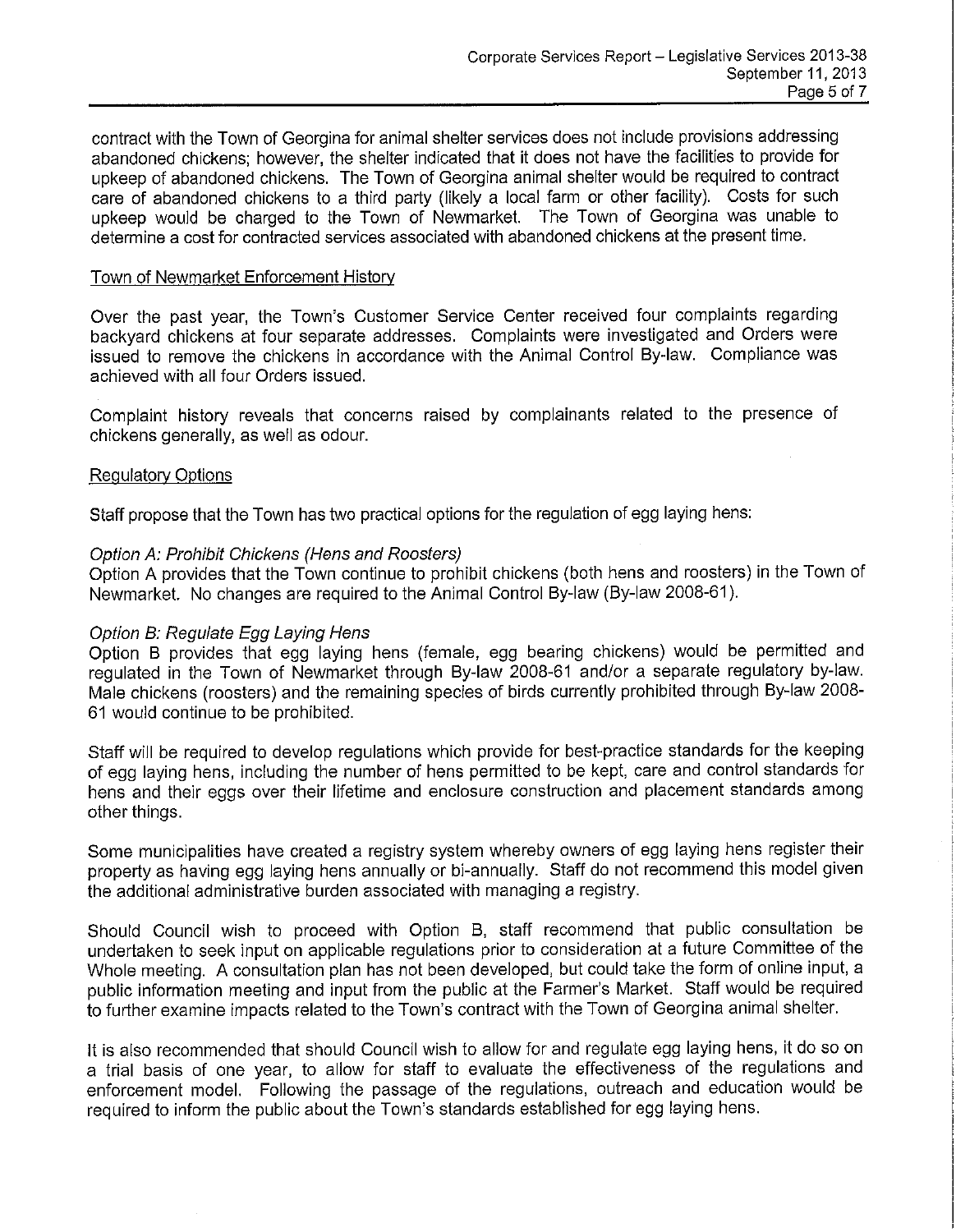contract with the Town of Georgina for animal shelter services does not include provisions addressing abandoned chickens; however, the shelter indicated that it does not have the facilities to provide for upkeep of abandoned chickens. The Town of Georgina animal shelter would be required to contract care of abandoned chickens to a third party (likely a local farm or other facility). Costs for such upkeep would be charged to the Town of Newmarket. The Town of Georgina was unable to determine a cost for contracted services associated with abandoned chickens at the present time.

#### Town of Newmarket Enforcement History

Over the past year, the Town's Customer Service Center received four complaints regarding backyard chickens at four separate addresses. Complaints were investigated and Orders were issued to remove the chickens in accordance with the Animal Control By-law. Compliance was achieved with all four Orders issued.

Complaint history reveals that concerns raised by complainants related to the presence of chickens generally, as well as odour.

#### Regulatory Options

Staff propose that the Town has two practical options for the regulation of egg laying hens:

#### Option *A:* Prohibit Chickens (Hens and Roosters)

Option A provides that the Town continue to prohibit chickens (both hens and roosters) in the Town of Newmarket. No changes are required to the Animal Control By-law (By-law 2008-61 ).

## Option B: Regulate Egg Laying Hens

Option B provides that egg laying hens (female, egg bearing chickens) would be permitted and regulated in the Town of Newmarket through By-law 2008-61 and/or a separate regulatory by-law. Male chickens (roosters) and the remaining species of birds currently prohibited through By-law 2008 61 would continue to be prohibited.

Staff will be required to develop regulations which provide for best-practice standards for the keeping of egg laying hens, including the number of hens permitted to be kept, care and control standards for hens and their eggs over their lifetime and enclosure construction and placement standards among other things.

Some municipalities have created a registry system whereby owners of egg laying hens register their property as having egg laying hens annually or bi-annually. Staff do not recommend this model given the additional administrative burden associated with managing a registry.

Should Council wish to proceed with Option B, staff recommend that public consultation be undertaken to seek input on applicable regulations prior to consideration at a future Committee of the Whole meeting. A consultation plan has not been developed, but could take the form of online input, a public information meeting and input from the public at the Farmer's Market. Staff would be required to further examine impacts related to the Town's contract with the Town of Georgina animal shelter.

It is also recommended that should Council wish to allow for and regulate egg laying hens, it do so on a trial basis of one year, to allow for staff to evaluate the effectiveness of the regulations and enforcement model. Following the passage of the regulations, outreach and education would be required to inform the public about the Town's standards established for egg laying hens.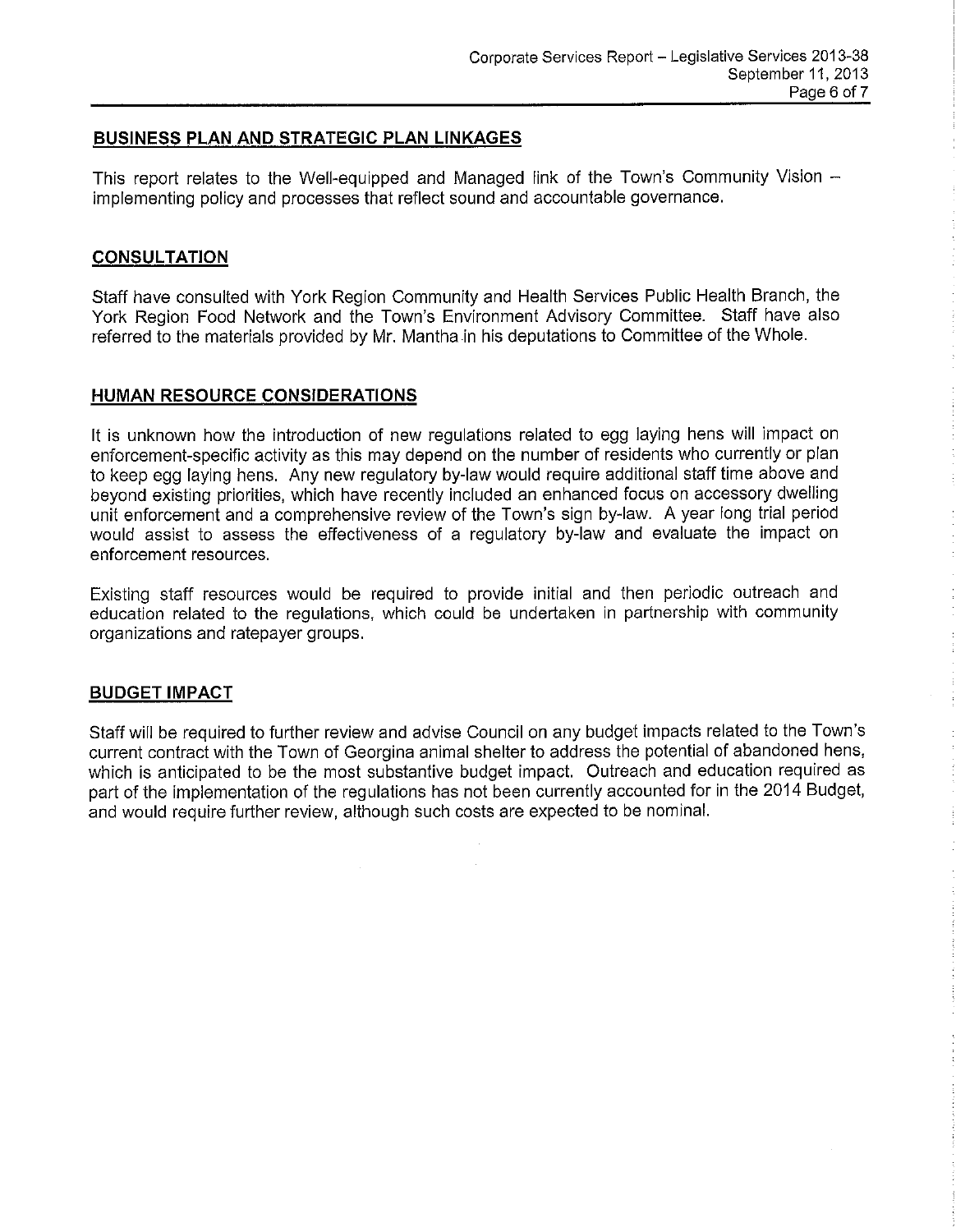### **BUSINESS PLAN AND STRATEGIC PLAN LINKAGES**

This report relates to the Well-equipped and Managed link of the Town's Community Vision implementing policy and processes that reflect sound and accountable governance.

### **CONSULTATION**

Staff have consulted with York Region Community and Health Services Public Health Branch, the York Region Food Network and the Town's Environment Advisory Committee. Staff have also referred to the materials provided by Mr. Mantha in his deputations to Committee of the Whole.

#### **HUMAN RESOURCE CONSIDERATIONS**

It is unknown how the introduction of new regulations related to egg laying hens will impact on enforcement-specific activity as this may depend on the number of residents who currently or plan to keep egg laying hens. Any new regulatory by-law would require additional staff time above and beyond existing priorities, which have recently included an enhanced focus on accessory dwelling unit enforcement and a comprehensive review of the Town's sign by-law. A year long trial period would assist to assess the effectiveness of a regulatory by-law and evaluate the impact on enforcement resources.

Existing staff resources would be required to provide initial and then periodic outreach and education related to the regulations, which could be undertaken in partnership with community organizations and ratepayer groups.

#### **BUDGET IMPACT**

Staff will be required to further review and advise Council on any budget impacts related to the Town's current contract with the Town of Georgina animal shelter to address the potential of abandoned hens, which is anticipated to be the most substantive budget impact. Outreach and education required as part of the implementation of the regulations has not been currently accounted for in the 2014 Budget, and would require further review, although such costs are expected to be nominal.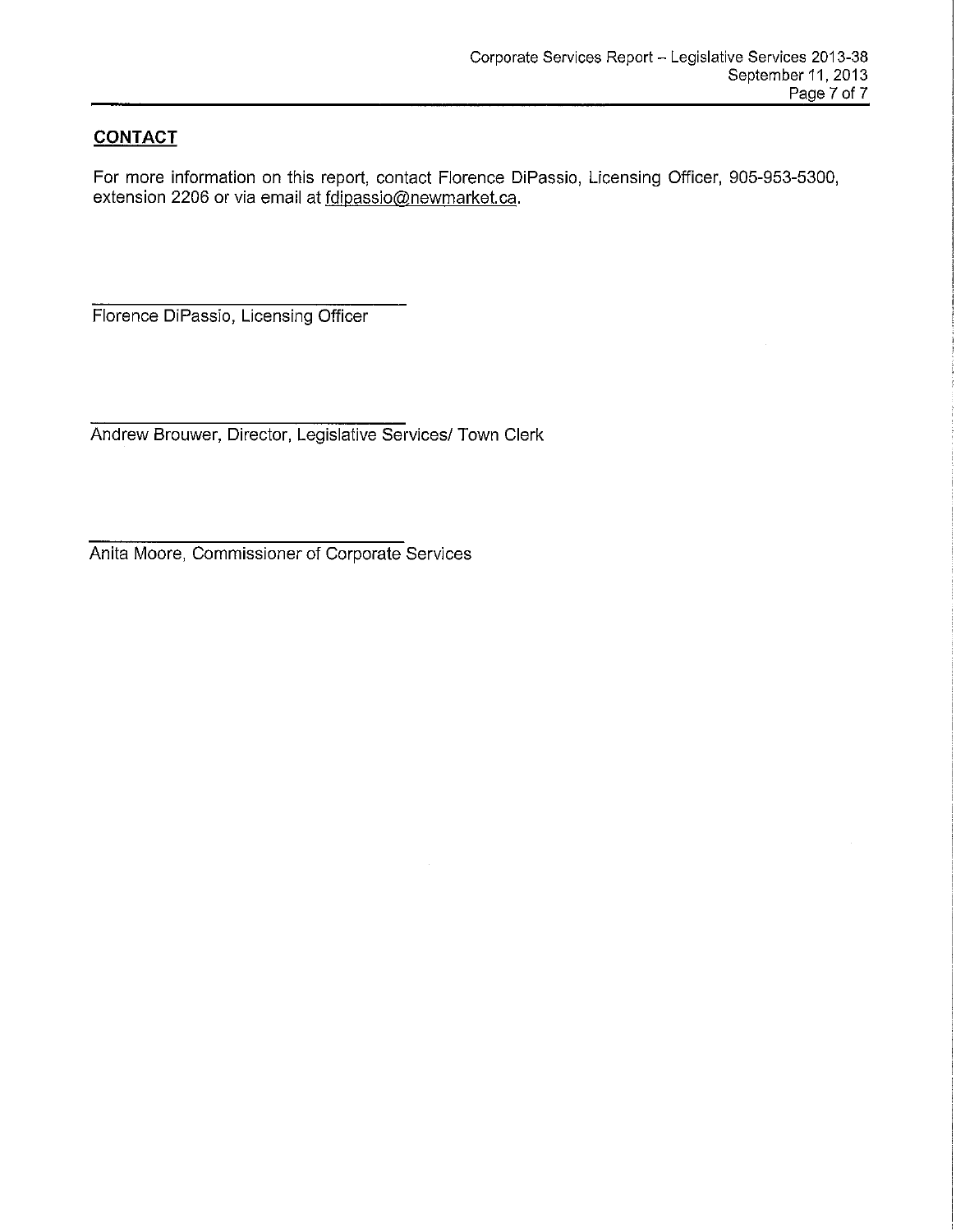# **CONTACT**

For more information on this report, contact Florence DiPassio, Licensing Officer, 905-953-5300, extension 2206 or via email at fdipassio@newmarket.ca.

Florence DiPassio, Licensing Officer

Andrew Brouwer, Director, Legislative Services/ Town Clerk

Anita Moore, Commissioner of Corporate Services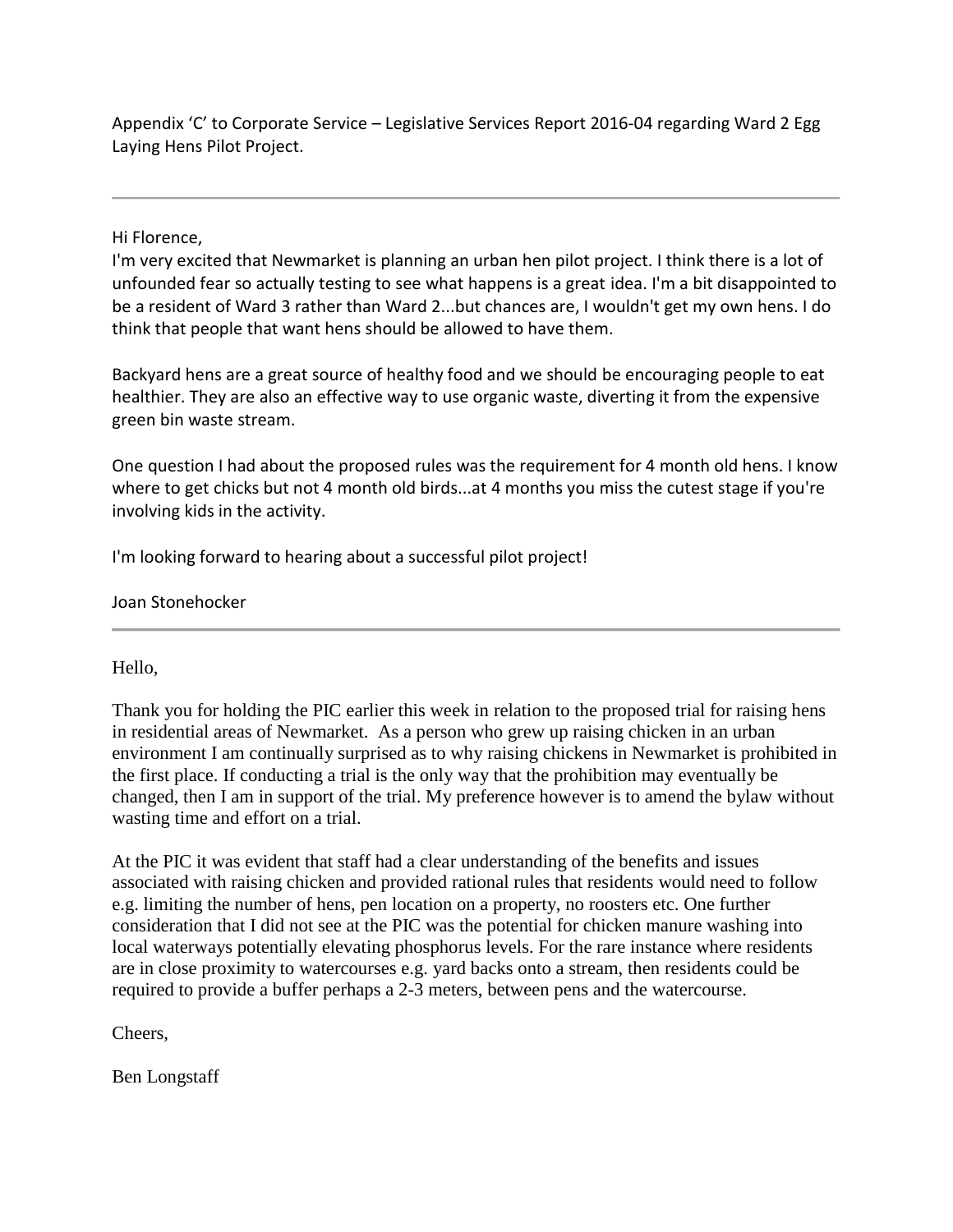Appendix 'C' to Corporate Service – Legislative Services Report 2016-04 regarding Ward 2 Egg Laying Hens Pilot Project.

Hi Florence,

 I'm very excited that Newmarket is planning an urban hen pilot project. I think there is a lot of unfounded fear so actually testing to see what happens is a great idea. I'm a bit disappointed to be a resident of Ward 3 rather than Ward 2...but chances are, I wouldn't get my own hens. I do think that people that want hens should be allowed to have them.

 Backyard hens are a great source of healthy food and we should be encouraging people to eat healthier. They are also an effective way to use organic waste, diverting it from the expensive green bin waste stream.

 One question I had about the proposed rules was the requirement for 4 month old hens. I know where to get chicks but not 4 month old birds...at 4 months you miss the cutest stage if you're involving kids in the activity.

I'm looking forward to hearing about a successful pilot project!

Joan Stonehocker

Hello,

 in residential areas of Newmarket. As a person who grew up raising chicken in an urban Thank you for holding the PIC earlier this week in relation to the proposed trial for raising hens environment I am continually surprised as to why raising chickens in Newmarket is prohibited in the first place. If conducting a trial is the only way that the prohibition may eventually be changed, then I am in support of the trial. My preference however is to amend the bylaw without wasting time and effort on a trial.

At the PIC it was evident that staff had a clear understanding of the benefits and issues associated with raising chicken and provided rational rules that residents would need to follow e.g. limiting the number of hens, pen location on a property, no roosters etc. One further consideration that I did not see at the PIC was the potential for chicken manure washing into local waterways potentially elevating phosphorus levels. For the rare instance where residents are in close proximity to watercourses e.g. yard backs onto a stream, then residents could be required to provide a buffer perhaps a 2-3 meters, between pens and the watercourse.

Cheers,

Ben Longstaff